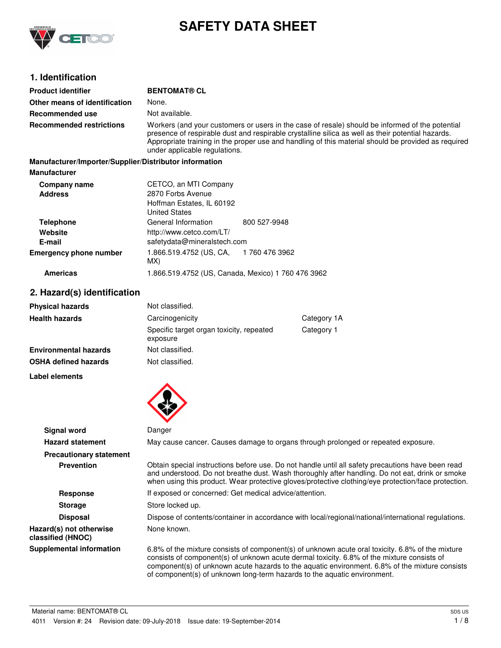

# **SAFETY DATA SHEET**

# **1. Identification**

| <b>Product identifier</b>                              | <b>BENTOMAT® CL</b>                                                                                                                                                                                                                                                                                                                          |                |
|--------------------------------------------------------|----------------------------------------------------------------------------------------------------------------------------------------------------------------------------------------------------------------------------------------------------------------------------------------------------------------------------------------------|----------------|
| Other means of identification                          | None.                                                                                                                                                                                                                                                                                                                                        |                |
| Recommended use                                        | Not available.                                                                                                                                                                                                                                                                                                                               |                |
| <b>Recommended restrictions</b>                        | Workers (and your customers or users in the case of resale) should be informed of the potential<br>presence of respirable dust and respirable crystalline silica as well as their potential hazards.<br>Appropriate training in the proper use and handling of this material should be provided as required<br>under applicable regulations. |                |
| Manufacturer/Importer/Supplier/Distributor information |                                                                                                                                                                                                                                                                                                                                              |                |
| <b>Manufacturer</b>                                    |                                                                                                                                                                                                                                                                                                                                              |                |
| Company name<br><b>Address</b>                         | CETCO, an MTI Company<br>2870 Forbs Avenue<br>Hoffman Estates, IL 60192<br><b>United States</b>                                                                                                                                                                                                                                              |                |
| <b>Telephone</b><br>Website<br>E-mail                  | General Information<br>http://www.cetco.com/LT/<br>safetydata@mineralstech.com                                                                                                                                                                                                                                                               | 800 527-9948   |
| <b>Emergency phone number</b>                          | 1.866.519.4752 (US, CA,<br>MX)                                                                                                                                                                                                                                                                                                               | 1 760 476 3962 |

#### **Americas** 1.866.519.4752 (US, Canada, Mexico) 1 760 476 3962

**Label elements**

### **2. Hazard(s) identification**

| <b>Physical hazards</b>      | Not classified.                                      |             |
|------------------------------|------------------------------------------------------|-------------|
| <b>Health hazards</b>        | Carcinogenicity                                      | Category 1A |
|                              | Specific target organ toxicity, repeated<br>exposure | Category 1  |
| <b>Environmental hazards</b> | Not classified.                                      |             |
| <b>OSHA defined hazards</b>  | Not classified.                                      |             |

| Danger                                                                                                                                                                                                                                                                                                                                                                       |
|------------------------------------------------------------------------------------------------------------------------------------------------------------------------------------------------------------------------------------------------------------------------------------------------------------------------------------------------------------------------------|
| May cause cancer. Causes damage to organs through prolonged or repeated exposure.                                                                                                                                                                                                                                                                                            |
|                                                                                                                                                                                                                                                                                                                                                                              |
| Obtain special instructions before use. Do not handle until all safety precautions have been read<br>and understood. Do not breathe dust. Wash thoroughly after handling. Do not eat, drink or smoke<br>when using this product. Wear protective gloves/protective clothing/eye protection/face protection.                                                                  |
| If exposed or concerned: Get medical advice/attention.                                                                                                                                                                                                                                                                                                                       |
| Store locked up.                                                                                                                                                                                                                                                                                                                                                             |
| Dispose of contents/container in accordance with local/regional/national/international regulations.                                                                                                                                                                                                                                                                          |
| None known.                                                                                                                                                                                                                                                                                                                                                                  |
| 6.8% of the mixture consists of component(s) of unknown acute oral toxicity. 6.8% of the mixture<br>consists of component(s) of unknown acute dermal toxicity. 6.8% of the mixture consists of<br>component(s) of unknown acute hazards to the aquatic environment. 6.8% of the mixture consists<br>of component(s) of unknown long-term hazards to the aquatic environment. |
|                                                                                                                                                                                                                                                                                                                                                                              |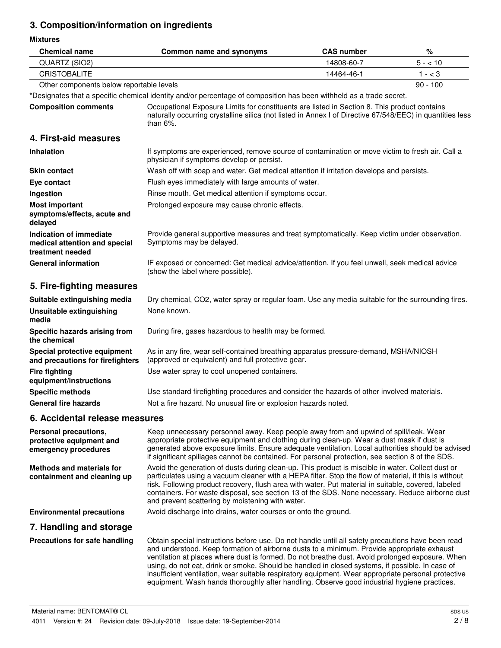# **3. Composition/information on ingredients**

**Mixtures**

| <b>Chemical name</b>                                                         | Common name and synonyms                                                                                                                                                                                                                                                                                                                                                                                                                                                                                                                                                                                    | <b>CAS number</b> | %          |
|------------------------------------------------------------------------------|-------------------------------------------------------------------------------------------------------------------------------------------------------------------------------------------------------------------------------------------------------------------------------------------------------------------------------------------------------------------------------------------------------------------------------------------------------------------------------------------------------------------------------------------------------------------------------------------------------------|-------------------|------------|
| QUARTZ (SIO2)                                                                |                                                                                                                                                                                                                                                                                                                                                                                                                                                                                                                                                                                                             | 14808-60-7        | $5 - 10$   |
| <b>CRISTOBALITE</b>                                                          |                                                                                                                                                                                                                                                                                                                                                                                                                                                                                                                                                                                                             | 14464-46-1        | $1 - < 3$  |
| Other components below reportable levels                                     |                                                                                                                                                                                                                                                                                                                                                                                                                                                                                                                                                                                                             |                   | $90 - 100$ |
|                                                                              | *Designates that a specific chemical identity and/or percentage of composition has been withheld as a trade secret.                                                                                                                                                                                                                                                                                                                                                                                                                                                                                         |                   |            |
| <b>Composition comments</b>                                                  | Occupational Exposure Limits for constituents are listed in Section 8. This product contains<br>naturally occurring crystalline silica (not listed in Annex I of Directive 67/548/EEC) in quantities less<br>than $6\%$ .                                                                                                                                                                                                                                                                                                                                                                                   |                   |            |
| 4. First-aid measures                                                        |                                                                                                                                                                                                                                                                                                                                                                                                                                                                                                                                                                                                             |                   |            |
| <b>Inhalation</b>                                                            | If symptoms are experienced, remove source of contamination or move victim to fresh air. Call a<br>physician if symptoms develop or persist.                                                                                                                                                                                                                                                                                                                                                                                                                                                                |                   |            |
| <b>Skin contact</b>                                                          | Wash off with soap and water. Get medical attention if irritation develops and persists.                                                                                                                                                                                                                                                                                                                                                                                                                                                                                                                    |                   |            |
| Eye contact                                                                  | Flush eyes immediately with large amounts of water.                                                                                                                                                                                                                                                                                                                                                                                                                                                                                                                                                         |                   |            |
| Ingestion                                                                    | Rinse mouth. Get medical attention if symptoms occur.                                                                                                                                                                                                                                                                                                                                                                                                                                                                                                                                                       |                   |            |
| <b>Most important</b><br>symptoms/effects, acute and<br>delayed              | Prolonged exposure may cause chronic effects.                                                                                                                                                                                                                                                                                                                                                                                                                                                                                                                                                               |                   |            |
| Indication of immediate<br>medical attention and special<br>treatment needed | Provide general supportive measures and treat symptomatically. Keep victim under observation.<br>Symptoms may be delayed.                                                                                                                                                                                                                                                                                                                                                                                                                                                                                   |                   |            |
| <b>General information</b>                                                   | IF exposed or concerned: Get medical advice/attention. If you feel unwell, seek medical advice<br>(show the label where possible).                                                                                                                                                                                                                                                                                                                                                                                                                                                                          |                   |            |
| 5. Fire-fighting measures                                                    |                                                                                                                                                                                                                                                                                                                                                                                                                                                                                                                                                                                                             |                   |            |
| Suitable extinguishing media                                                 | Dry chemical, CO2, water spray or regular foam. Use any media suitable for the surrounding fires.                                                                                                                                                                                                                                                                                                                                                                                                                                                                                                           |                   |            |
| <b>Unsuitable extinguishing</b><br>media                                     | None known.                                                                                                                                                                                                                                                                                                                                                                                                                                                                                                                                                                                                 |                   |            |
| Specific hazards arising from<br>the chemical                                | During fire, gases hazardous to health may be formed.                                                                                                                                                                                                                                                                                                                                                                                                                                                                                                                                                       |                   |            |
| Special protective equipment<br>and precautions for firefighters             | As in any fire, wear self-contained breathing apparatus pressure-demand, MSHA/NIOSH<br>(approved or equivalent) and full protective gear.                                                                                                                                                                                                                                                                                                                                                                                                                                                                   |                   |            |
| <b>Fire fighting</b><br>equipment/instructions                               | Use water spray to cool unopened containers.                                                                                                                                                                                                                                                                                                                                                                                                                                                                                                                                                                |                   |            |
| <b>Specific methods</b>                                                      | Use standard firefighting procedures and consider the hazards of other involved materials.                                                                                                                                                                                                                                                                                                                                                                                                                                                                                                                  |                   |            |
| <b>General fire hazards</b>                                                  | Not a fire hazard. No unusual fire or explosion hazards noted.                                                                                                                                                                                                                                                                                                                                                                                                                                                                                                                                              |                   |            |
| 6. Accidental release measures                                               |                                                                                                                                                                                                                                                                                                                                                                                                                                                                                                                                                                                                             |                   |            |
| Personal precautions,<br>protective equipment and<br>emergency procedures    | Keep unnecessary personnel away. Keep people away from and upwind of spill/leak. Wear<br>appropriate protective equipment and clothing during clean-up. Wear a dust mask if dust is<br>generated above exposure limits. Ensure adequate ventilation. Local authorities should be advised<br>if significant spillages cannot be contained. For personal protection, see section 8 of the SDS.                                                                                                                                                                                                                |                   |            |
| <b>Methods and materials for</b><br>containment and cleaning up              | Avoid the generation of dusts during clean-up. This product is miscible in water. Collect dust or<br>particulates using a vacuum cleaner with a HEPA filter. Stop the flow of material, if this is without<br>risk. Following product recovery, flush area with water. Put material in suitable, covered, labeled<br>containers. For waste disposal, see section 13 of the SDS. None necessary. Reduce airborne dust<br>and prevent scattering by moistening with water.                                                                                                                                    |                   |            |
| <b>Environmental precautions</b>                                             | Avoid discharge into drains, water courses or onto the ground.                                                                                                                                                                                                                                                                                                                                                                                                                                                                                                                                              |                   |            |
| 7. Handling and storage                                                      |                                                                                                                                                                                                                                                                                                                                                                                                                                                                                                                                                                                                             |                   |            |
| Precautions for safe handling                                                | Obtain special instructions before use. Do not handle until all safety precautions have been read<br>and understood. Keep formation of airborne dusts to a minimum. Provide appropriate exhaust<br>ventilation at places where dust is formed. Do not breathe dust. Avoid prolonged exposure. When<br>using, do not eat, drink or smoke. Should be handled in closed systems, if possible. In case of<br>insufficient ventilation, wear suitable respiratory equipment. Wear appropriate personal protective<br>equipment. Wash hands thoroughly after handling. Observe good industrial hygiene practices. |                   |            |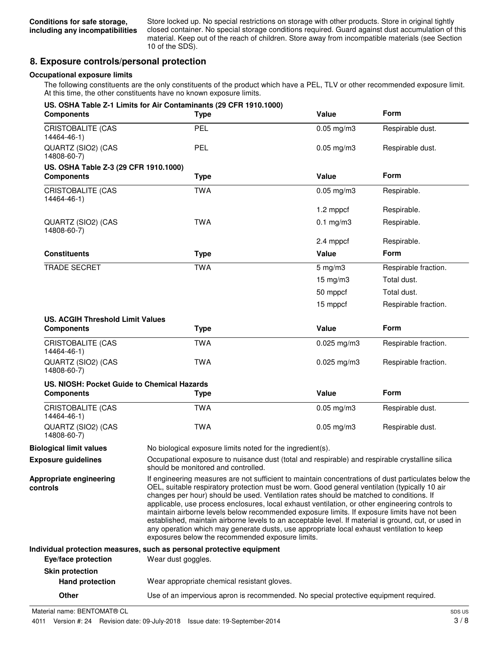Store locked up. No special restrictions on storage with other products. Store in original tightly closed container. No special storage conditions required. Guard against dust accumulation of this material. Keep out of the reach of children. Store away from incompatible materials (see Section 10 of the SDS).

### **8. Exposure controls/personal protection**

#### **Occupational exposure limits**

The following constituents are the only constituents of the product which have a PEL, TLV or other recommended exposure limit. At this time, the other constituents have no known exposure limits.

| <b>Components</b>                           | US. OSHA Table Z-1 Limits for Air Contaminants (29 CFR 1910.1000)<br><b>Type</b>                                                                                                                                                                                                                                                                                                                                                                                                                                                                                                                                                                                                                                                                             | Value                                                                                           | <b>Form</b>          |  |
|---------------------------------------------|--------------------------------------------------------------------------------------------------------------------------------------------------------------------------------------------------------------------------------------------------------------------------------------------------------------------------------------------------------------------------------------------------------------------------------------------------------------------------------------------------------------------------------------------------------------------------------------------------------------------------------------------------------------------------------------------------------------------------------------------------------------|-------------------------------------------------------------------------------------------------|----------------------|--|
| <b>CRISTOBALITE (CAS</b><br>14464-46-1)     | PEL                                                                                                                                                                                                                                                                                                                                                                                                                                                                                                                                                                                                                                                                                                                                                          | $0.05$ mg/m $3$                                                                                 | Respirable dust.     |  |
| QUARTZ (SIO2) (CAS<br>14808-60-7)           | <b>PEL</b>                                                                                                                                                                                                                                                                                                                                                                                                                                                                                                                                                                                                                                                                                                                                                   | $0.05$ mg/m $3$                                                                                 | Respirable dust.     |  |
| US. OSHA Table Z-3 (29 CFR 1910.1000)       |                                                                                                                                                                                                                                                                                                                                                                                                                                                                                                                                                                                                                                                                                                                                                              |                                                                                                 |                      |  |
| <b>Components</b>                           | <b>Type</b>                                                                                                                                                                                                                                                                                                                                                                                                                                                                                                                                                                                                                                                                                                                                                  | Value                                                                                           | <b>Form</b>          |  |
| CRISTOBALITE (CAS<br>14464-46-1)            | <b>TWA</b>                                                                                                                                                                                                                                                                                                                                                                                                                                                                                                                                                                                                                                                                                                                                                   | $0.05$ mg/m $3$                                                                                 | Respirable.          |  |
|                                             |                                                                                                                                                                                                                                                                                                                                                                                                                                                                                                                                                                                                                                                                                                                                                              | 1.2 mppcf                                                                                       | Respirable.          |  |
| QUARTZ (SIO2) (CAS<br>14808-60-7)           | <b>TWA</b>                                                                                                                                                                                                                                                                                                                                                                                                                                                                                                                                                                                                                                                                                                                                                   | $0.1$ mg/m $3$                                                                                  | Respirable.          |  |
|                                             |                                                                                                                                                                                                                                                                                                                                                                                                                                                                                                                                                                                                                                                                                                                                                              | 2.4 mppcf                                                                                       | Respirable.          |  |
| <b>Constituents</b>                         | <b>Type</b>                                                                                                                                                                                                                                                                                                                                                                                                                                                                                                                                                                                                                                                                                                                                                  | Value                                                                                           | <b>Form</b>          |  |
| <b>TRADE SECRET</b>                         | <b>TWA</b>                                                                                                                                                                                                                                                                                                                                                                                                                                                                                                                                                                                                                                                                                                                                                   | $5$ mg/m $3$                                                                                    | Respirable fraction. |  |
|                                             |                                                                                                                                                                                                                                                                                                                                                                                                                                                                                                                                                                                                                                                                                                                                                              | $15 \text{ mg/m}$ 3                                                                             | Total dust.          |  |
|                                             |                                                                                                                                                                                                                                                                                                                                                                                                                                                                                                                                                                                                                                                                                                                                                              | 50 mppcf                                                                                        | Total dust.          |  |
|                                             |                                                                                                                                                                                                                                                                                                                                                                                                                                                                                                                                                                                                                                                                                                                                                              | 15 mppcf                                                                                        | Respirable fraction. |  |
| <b>US. ACGIH Threshold Limit Values</b>     |                                                                                                                                                                                                                                                                                                                                                                                                                                                                                                                                                                                                                                                                                                                                                              |                                                                                                 |                      |  |
| <b>Components</b>                           | <b>Type</b>                                                                                                                                                                                                                                                                                                                                                                                                                                                                                                                                                                                                                                                                                                                                                  | Value                                                                                           | Form                 |  |
| <b>CRISTOBALITE (CAS</b><br>14464-46-1)     | <b>TWA</b>                                                                                                                                                                                                                                                                                                                                                                                                                                                                                                                                                                                                                                                                                                                                                   | $0.025$ mg/m3                                                                                   | Respirable fraction. |  |
| QUARTZ (SIO2) (CAS<br>14808-60-7)           | <b>TWA</b>                                                                                                                                                                                                                                                                                                                                                                                                                                                                                                                                                                                                                                                                                                                                                   | $0.025$ mg/m $3$                                                                                | Respirable fraction. |  |
| US. NIOSH: Pocket Guide to Chemical Hazards |                                                                                                                                                                                                                                                                                                                                                                                                                                                                                                                                                                                                                                                                                                                                                              |                                                                                                 |                      |  |
| <b>Components</b>                           | <b>Type</b>                                                                                                                                                                                                                                                                                                                                                                                                                                                                                                                                                                                                                                                                                                                                                  | Value                                                                                           | Form                 |  |
| <b>CRISTOBALITE (CAS</b><br>14464-46-1)     | <b>TWA</b>                                                                                                                                                                                                                                                                                                                                                                                                                                                                                                                                                                                                                                                                                                                                                   | $0.05$ mg/m $3$                                                                                 | Respirable dust.     |  |
| QUARTZ (SIO2) (CAS<br>14808-60-7)           | <b>TWA</b>                                                                                                                                                                                                                                                                                                                                                                                                                                                                                                                                                                                                                                                                                                                                                   | $0.05$ mg/m $3$                                                                                 | Respirable dust.     |  |
| <b>Biological limit values</b>              | No biological exposure limits noted for the ingredient(s).                                                                                                                                                                                                                                                                                                                                                                                                                                                                                                                                                                                                                                                                                                   |                                                                                                 |                      |  |
| <b>Exposure guidelines</b>                  | should be monitored and controlled.                                                                                                                                                                                                                                                                                                                                                                                                                                                                                                                                                                                                                                                                                                                          | Occupational exposure to nuisance dust (total and respirable) and respirable crystalline silica |                      |  |
| Appropriate engineering<br>controls         | If engineering measures are not sufficient to maintain concentrations of dust particulates below the<br>OEL, suitable respiratory protection must be worn. Good general ventilation (typically 10 air<br>changes per hour) should be used. Ventilation rates should be matched to conditions. If<br>applicable, use process enclosures, local exhaust ventilation, or other engineering controls to<br>maintain airborne levels below recommended exposure limits. If exposure limits have not been<br>established, maintain airborne levels to an acceptable level. If material is ground, cut, or used in<br>any operation which may generate dusts, use appropriate local exhaust ventilation to keep<br>exposures below the recommended exposure limits. |                                                                                                 |                      |  |
|                                             | Individual protection measures, such as personal protective equipment                                                                                                                                                                                                                                                                                                                                                                                                                                                                                                                                                                                                                                                                                        |                                                                                                 |                      |  |
| Eye/face protection                         | Wear dust goggles.                                                                                                                                                                                                                                                                                                                                                                                                                                                                                                                                                                                                                                                                                                                                           |                                                                                                 |                      |  |
| <b>Skin protection</b>                      |                                                                                                                                                                                                                                                                                                                                                                                                                                                                                                                                                                                                                                                                                                                                                              |                                                                                                 |                      |  |
| <b>Hand protection</b>                      | Wear appropriate chemical resistant gloves.                                                                                                                                                                                                                                                                                                                                                                                                                                                                                                                                                                                                                                                                                                                  |                                                                                                 |                      |  |

**Other** Use of an impervious apron is recommended. No special protective equipment required.

Material name: BENTOMAT® CL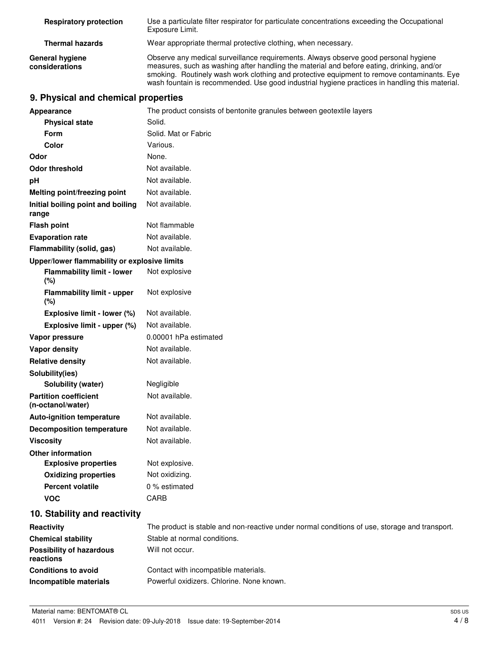| <b>Respiratory protection</b>     | Use a particulate filter respirator for particulate concentrations exceeding the Occupational<br>Exposure Limit.                                                                                                                                                                                                                                                                 |
|-----------------------------------|----------------------------------------------------------------------------------------------------------------------------------------------------------------------------------------------------------------------------------------------------------------------------------------------------------------------------------------------------------------------------------|
| <b>Thermal hazards</b>            | Wear appropriate thermal protective clothing, when necessary.                                                                                                                                                                                                                                                                                                                    |
| General hygiene<br>considerations | Observe any medical surveillance requirements. Always observe good personal hygiene<br>measures, such as washing after handling the material and before eating, drinking, and/or<br>smoking. Routinely wash work clothing and protective equipment to remove contaminants. Eye<br>wash fountain is recommended. Use good industrial hygiene practices in handling this material. |

# **9. Physical and chemical properties**

| <b>Appearance</b>                                 | The product consists of bentonite granules between geotextile layers                          |
|---------------------------------------------------|-----------------------------------------------------------------------------------------------|
| <b>Physical state</b>                             | Solid.                                                                                        |
| <b>Form</b>                                       | Solid. Mat or Fabric                                                                          |
| Color                                             | Various.                                                                                      |
| Odor                                              | None.                                                                                         |
| <b>Odor threshold</b>                             | Not available.                                                                                |
| рH                                                | Not available.                                                                                |
| <b>Melting point/freezing point</b>               | Not available.                                                                                |
| Initial boiling point and boiling<br>range        | Not available.                                                                                |
| <b>Flash point</b>                                | Not flammable                                                                                 |
| <b>Evaporation rate</b>                           | Not available.                                                                                |
| Flammability (solid, gas)                         | Not available.                                                                                |
| Upper/lower flammability or explosive limits      |                                                                                               |
| <b>Flammability limit - lower</b><br>$(\%)$       | Not explosive                                                                                 |
| <b>Flammability limit - upper</b><br>(%)          | Not explosive                                                                                 |
| Explosive limit - lower (%)                       | Not available.                                                                                |
| Explosive limit - upper (%)                       | Not available.                                                                                |
| Vapor pressure                                    | 0.00001 hPa estimated                                                                         |
| Vapor density                                     | Not available.                                                                                |
| <b>Relative density</b>                           | Not available.                                                                                |
| Solubility(ies)                                   |                                                                                               |
| Solubility (water)                                | Negligible                                                                                    |
| <b>Partition coefficient</b><br>(n-octanol/water) | Not available.                                                                                |
| <b>Auto-ignition temperature</b>                  | Not available.                                                                                |
| <b>Decomposition temperature</b>                  | Not available.                                                                                |
| <b>Viscosity</b>                                  | Not available.                                                                                |
| <b>Other information</b>                          |                                                                                               |
| <b>Explosive properties</b>                       | Not explosive.                                                                                |
| <b>Oxidizing properties</b>                       | Not oxidizing.                                                                                |
| <b>Percent volatile</b>                           | 0 % estimated                                                                                 |
| <b>VOC</b>                                        | CARB                                                                                          |
| 10. Stability and reactivity                      |                                                                                               |
| Reactivity                                        | The product is stable and non-reactive under normal conditions of use, storage and transport. |
| <b>Chemical stability</b>                         | Stable at normal conditions.                                                                  |
| <b>Possibility of hazardous</b><br>reactions      | Will not occur.                                                                               |
| <b>Conditions to avoid</b>                        | Contact with incompatible materials.                                                          |
| Incompatible materials                            | Powerful oxidizers. Chlorine. None known.                                                     |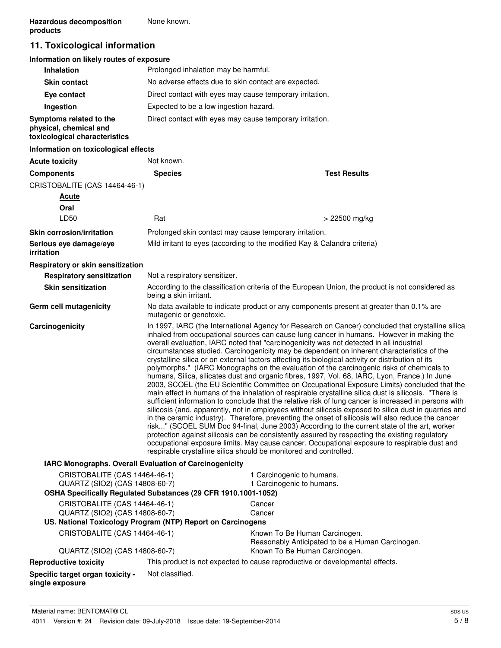## **11. Toxicological information**

#### **Information on likely routes of exposure**

| <b>Inhalation</b>                                                                  | Prolonged inhalation may be harmful.                     |
|------------------------------------------------------------------------------------|----------------------------------------------------------|
| <b>Skin contact</b>                                                                | No adverse effects due to skin contact are expected.     |
| Eye contact                                                                        | Direct contact with eyes may cause temporary irritation. |
| Ingestion                                                                          | Expected to be a low ingestion hazard.                   |
| Symptoms related to the<br>physical, chemical and<br>toxicological characteristics | Direct contact with eyes may cause temporary irritation. |

#### **Information on toxicological effects**

| <b>Acute toxicity</b>                                                                                                             | Not known.                    |                                                                                                                                                                                                                                                                                                                                                                                                                                                                                                                                                                                                                                                                                                                                                                                                                                                                                                                                                                                                                                                                                                                                                                                                                                                                                                                                                                                                                                                                                                                                                                                                    |
|-----------------------------------------------------------------------------------------------------------------------------------|-------------------------------|----------------------------------------------------------------------------------------------------------------------------------------------------------------------------------------------------------------------------------------------------------------------------------------------------------------------------------------------------------------------------------------------------------------------------------------------------------------------------------------------------------------------------------------------------------------------------------------------------------------------------------------------------------------------------------------------------------------------------------------------------------------------------------------------------------------------------------------------------------------------------------------------------------------------------------------------------------------------------------------------------------------------------------------------------------------------------------------------------------------------------------------------------------------------------------------------------------------------------------------------------------------------------------------------------------------------------------------------------------------------------------------------------------------------------------------------------------------------------------------------------------------------------------------------------------------------------------------------------|
| <b>Components</b>                                                                                                                 | <b>Species</b>                | <b>Test Results</b>                                                                                                                                                                                                                                                                                                                                                                                                                                                                                                                                                                                                                                                                                                                                                                                                                                                                                                                                                                                                                                                                                                                                                                                                                                                                                                                                                                                                                                                                                                                                                                                |
| CRISTOBALITE (CAS 14464-46-1)                                                                                                     |                               |                                                                                                                                                                                                                                                                                                                                                                                                                                                                                                                                                                                                                                                                                                                                                                                                                                                                                                                                                                                                                                                                                                                                                                                                                                                                                                                                                                                                                                                                                                                                                                                                    |
| <b>Acute</b>                                                                                                                      |                               |                                                                                                                                                                                                                                                                                                                                                                                                                                                                                                                                                                                                                                                                                                                                                                                                                                                                                                                                                                                                                                                                                                                                                                                                                                                                                                                                                                                                                                                                                                                                                                                                    |
| Oral                                                                                                                              |                               |                                                                                                                                                                                                                                                                                                                                                                                                                                                                                                                                                                                                                                                                                                                                                                                                                                                                                                                                                                                                                                                                                                                                                                                                                                                                                                                                                                                                                                                                                                                                                                                                    |
| LD50                                                                                                                              | Rat                           | > 22500 mg/kg                                                                                                                                                                                                                                                                                                                                                                                                                                                                                                                                                                                                                                                                                                                                                                                                                                                                                                                                                                                                                                                                                                                                                                                                                                                                                                                                                                                                                                                                                                                                                                                      |
| <b>Skin corrosion/irritation</b>                                                                                                  |                               | Prolonged skin contact may cause temporary irritation.                                                                                                                                                                                                                                                                                                                                                                                                                                                                                                                                                                                                                                                                                                                                                                                                                                                                                                                                                                                                                                                                                                                                                                                                                                                                                                                                                                                                                                                                                                                                             |
| Serious eye damage/eye<br>irritation                                                                                              |                               | Mild irritant to eyes (according to the modified Kay & Calandra criteria)                                                                                                                                                                                                                                                                                                                                                                                                                                                                                                                                                                                                                                                                                                                                                                                                                                                                                                                                                                                                                                                                                                                                                                                                                                                                                                                                                                                                                                                                                                                          |
| Respiratory or skin sensitization                                                                                                 |                               |                                                                                                                                                                                                                                                                                                                                                                                                                                                                                                                                                                                                                                                                                                                                                                                                                                                                                                                                                                                                                                                                                                                                                                                                                                                                                                                                                                                                                                                                                                                                                                                                    |
| <b>Respiratory sensitization</b>                                                                                                  | Not a respiratory sensitizer. |                                                                                                                                                                                                                                                                                                                                                                                                                                                                                                                                                                                                                                                                                                                                                                                                                                                                                                                                                                                                                                                                                                                                                                                                                                                                                                                                                                                                                                                                                                                                                                                                    |
| <b>Skin sensitization</b>                                                                                                         | being a skin irritant.        | According to the classification criteria of the European Union, the product is not considered as                                                                                                                                                                                                                                                                                                                                                                                                                                                                                                                                                                                                                                                                                                                                                                                                                                                                                                                                                                                                                                                                                                                                                                                                                                                                                                                                                                                                                                                                                                   |
| Germ cell mutagenicity                                                                                                            | mutagenic or genotoxic.       | No data available to indicate product or any components present at greater than 0.1% are                                                                                                                                                                                                                                                                                                                                                                                                                                                                                                                                                                                                                                                                                                                                                                                                                                                                                                                                                                                                                                                                                                                                                                                                                                                                                                                                                                                                                                                                                                           |
| Carcinogenicity                                                                                                                   |                               | In 1997, IARC (the International Agency for Research on Cancer) concluded that crystalline silica<br>inhaled from occupational sources can cause lung cancer in humans. However in making the<br>overall evaluation, IARC noted that "carcinogenicity was not detected in all industrial<br>circumstances studied. Carcinogenicity may be dependent on inherent characteristics of the<br>crystalline silica or on external factors affecting its biological activity or distribution of its<br>polymorphs." (IARC Monographs on the evaluation of the carcinogenic risks of chemicals to<br>humans, Silica, silicates dust and organic fibres, 1997, Vol. 68, IARC, Lyon, France.) In June<br>2003, SCOEL (the EU Scientific Committee on Occupational Exposure Limits) concluded that the<br>main effect in humans of the inhalation of respirable crystalline silica dust is silicosis. "There is<br>sufficient information to conclude that the relative risk of lung cancer is increased in persons with<br>silicosis (and, apparently, not in employees without silicosis exposed to silica dust in quarries and<br>in the ceramic industry). Therefore, preventing the onset of silicosis will also reduce the cancer<br>risk" (SCOEL SUM Doc 94-final, June 2003) According to the current state of the art, worker<br>protection against silicosis can be consistently assured by respecting the existing regulatory<br>occupational exposure limits. May cause cancer. Occupational exposure to respirable dust and<br>respirable crystalline silica should be monitored and controlled. |
| IARC Monographs. Overall Evaluation of Carcinogenicity                                                                            |                               |                                                                                                                                                                                                                                                                                                                                                                                                                                                                                                                                                                                                                                                                                                                                                                                                                                                                                                                                                                                                                                                                                                                                                                                                                                                                                                                                                                                                                                                                                                                                                                                                    |
| CRISTOBALITE (CAS 14464-46-1)<br>QUARTZ (SIO2) (CAS 14808-60-7)<br>OSHA Specifically Regulated Substances (29 CFR 1910.1001-1052) |                               | 1 Carcinogenic to humans.<br>1 Carcinogenic to humans.                                                                                                                                                                                                                                                                                                                                                                                                                                                                                                                                                                                                                                                                                                                                                                                                                                                                                                                                                                                                                                                                                                                                                                                                                                                                                                                                                                                                                                                                                                                                             |
|                                                                                                                                   |                               |                                                                                                                                                                                                                                                                                                                                                                                                                                                                                                                                                                                                                                                                                                                                                                                                                                                                                                                                                                                                                                                                                                                                                                                                                                                                                                                                                                                                                                                                                                                                                                                                    |
| CRISTOBALITE (CAS 14464-46-1)<br>QUARTZ (SIO2) (CAS 14808-60-7)                                                                   |                               | Cancer<br>Cancer                                                                                                                                                                                                                                                                                                                                                                                                                                                                                                                                                                                                                                                                                                                                                                                                                                                                                                                                                                                                                                                                                                                                                                                                                                                                                                                                                                                                                                                                                                                                                                                   |
| US. National Toxicology Program (NTP) Report on Carcinogens                                                                       |                               |                                                                                                                                                                                                                                                                                                                                                                                                                                                                                                                                                                                                                                                                                                                                                                                                                                                                                                                                                                                                                                                                                                                                                                                                                                                                                                                                                                                                                                                                                                                                                                                                    |
| CRISTOBALITE (CAS 14464-46-1)                                                                                                     |                               | Known To Be Human Carcinogen.<br>Reasonably Anticipated to be a Human Carcinogen.                                                                                                                                                                                                                                                                                                                                                                                                                                                                                                                                                                                                                                                                                                                                                                                                                                                                                                                                                                                                                                                                                                                                                                                                                                                                                                                                                                                                                                                                                                                  |
| QUARTZ (SIO2) (CAS 14808-60-7)                                                                                                    |                               | Known To Be Human Carcinogen.                                                                                                                                                                                                                                                                                                                                                                                                                                                                                                                                                                                                                                                                                                                                                                                                                                                                                                                                                                                                                                                                                                                                                                                                                                                                                                                                                                                                                                                                                                                                                                      |
| <b>Reproductive toxicity</b>                                                                                                      |                               | This product is not expected to cause reproductive or developmental effects.                                                                                                                                                                                                                                                                                                                                                                                                                                                                                                                                                                                                                                                                                                                                                                                                                                                                                                                                                                                                                                                                                                                                                                                                                                                                                                                                                                                                                                                                                                                       |
| Specific target organ toxicity -<br>single exposure                                                                               | Not classified.               |                                                                                                                                                                                                                                                                                                                                                                                                                                                                                                                                                                                                                                                                                                                                                                                                                                                                                                                                                                                                                                                                                                                                                                                                                                                                                                                                                                                                                                                                                                                                                                                                    |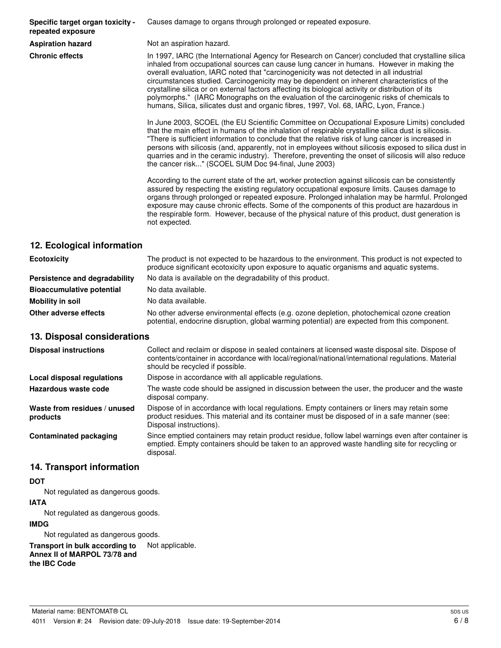**Specific target organ toxicity repeated exposure**

Causes damage to organs through prolonged or repeated exposure.

**Aspiration hazard** Not an aspiration hazard.

**Chronic effects** In 1997, IARC (the International Agency for Research on Cancer) concluded that crystalline silica inhaled from occupational sources can cause lung cancer in humans. However in making the overall evaluation, IARC noted that "carcinogenicity was not detected in all industrial circumstances studied. Carcinogenicity may be dependent on inherent characteristics of the crystalline silica or on external factors affecting its biological activity or distribution of its polymorphs." (IARC Monographs on the evaluation of the carcinogenic risks of chemicals to humans, Silica, silicates dust and organic fibres, 1997, Vol. 68, IARC, Lyon, France.)

> In June 2003, SCOEL (the EU Scientific Committee on Occupational Exposure Limits) concluded that the main effect in humans of the inhalation of respirable crystalline silica dust is silicosis. "There is sufficient information to conclude that the relative risk of lung cancer is increased in persons with silicosis (and, apparently, not in employees without silicosis exposed to silica dust in quarries and in the ceramic industry). Therefore, preventing the onset of silicosis will also reduce the cancer risk..." (SCOEL SUM Doc 94-final, June 2003)

> According to the current state of the art, worker protection against silicosis can be consistently assured by respecting the existing regulatory occupational exposure limits. Causes damage to organs through prolonged or repeated exposure. Prolonged inhalation may be harmful. Prolonged exposure may cause chronic effects. Some of the components of this product are hazardous in the respirable form. However, because of the physical nature of this product, dust generation is not expected.

### **12. Ecological information**

| <b>Ecotoxicity</b>               | The product is not expected to be hazardous to the environment. This product is not expected to<br>produce significant ecotoxicity upon exposure to aquatic organisms and aquatic systems. |
|----------------------------------|--------------------------------------------------------------------------------------------------------------------------------------------------------------------------------------------|
| Persistence and degradability    | No data is available on the degradability of this product.                                                                                                                                 |
| <b>Bioaccumulative potential</b> | No data available.                                                                                                                                                                         |
| Mobility in soil                 | No data available.                                                                                                                                                                         |
| Other adverse effects            | No other adverse environmental effects (e.g. ozone depletion, photochemical ozone creation<br>potential, endocrine disruption, global warming potential) are expected from this component. |

#### **13. Disposal considerations**

| <b>Disposal instructions</b>             | Collect and reclaim or dispose in sealed containers at licensed waste disposal site. Dispose of<br>contents/container in accordance with local/regional/national/international regulations. Material<br>should be recycled if possible. |
|------------------------------------------|-----------------------------------------------------------------------------------------------------------------------------------------------------------------------------------------------------------------------------------------|
| Local disposal regulations               | Dispose in accordance with all applicable regulations.                                                                                                                                                                                  |
| Hazardous waste code                     | The waste code should be assigned in discussion between the user, the producer and the waste<br>disposal company.                                                                                                                       |
| Waste from residues / unused<br>products | Dispose of in accordance with local regulations. Empty containers or liners may retain some<br>product residues. This material and its container must be disposed of in a safe manner (see:<br>Disposal instructions).                  |
| <b>Contaminated packaging</b>            | Since emptied containers may retain product residue, follow label warnings even after container is<br>emptied. Empty containers should be taken to an approved waste handling site for recycling or<br>disposal.                        |

#### **14. Transport information**

#### **DOT**

Not regulated as dangerous goods.

#### **IATA**

Not regulated as dangerous goods.

#### **IMDG**

Not regulated as dangerous goods.

**Transport in bulk according to** Not applicable. **Annex II of MARPOL 73/78 and the IBC Code**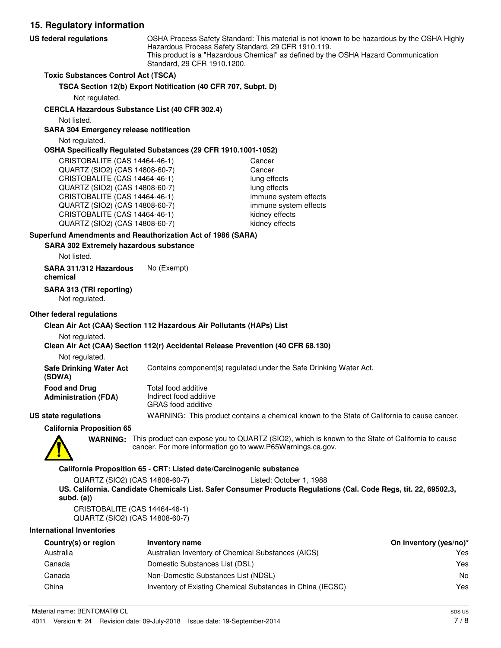**15. Regulatory information** OSHA Process Safety Standard: This material is not known to be hazardous by the OSHA Highly Hazardous Process Safety Standard, 29 CFR 1910.119. This product is a "Hazardous Chemical" as defined by the OSHA Hazard Communication Standard, 29 CFR 1910.1200. **US federal regulations Toxic Substances Control Act (TSCA) TSCA Section 12(b) Export Notification (40 CFR 707, Subpt. D)** Not regulated. **CERCLA Hazardous Substance List (40 CFR 302.4)** Not listed. **SARA 304 Emergency release notification** Not regulated. **OSHA Specifically Regulated Substances (29 CFR 1910.1001-1052)** CRISTOBALITE (CAS 14464-46-1) Cancer QUARTZ (SIO2) (CAS 14808-60-7) Cancer CRISTOBALITE (CAS 14464-46-1) lung effects QUARTZ (SIO2) (CAS 14808-60-7) lung effects CRISTOBALITE (CAS 14464-46-1) immune system effects QUARTZ (SIO2) (CAS 14808-60-7) immune system effects CRISTOBALITE (CAS 14464-46-1) kidney effects QUARTZ (SIO2) (CAS 14808-60-7) kidney effects **SARA 302 Extremely hazardous substance Superfund Amendments and Reauthorization Act of 1986 (SARA)** Not listed. **SARA 311/312 Hazardous** No (Exempt) **chemical SARA 313 (TRI reporting)**

Not regulated.

#### **Other federal regulations**

#### **Clean Air Act (CAA) Section 112 Hazardous Air Pollutants (HAPs) List**

Not regulated.

#### **Clean Air Act (CAA) Section 112(r) Accidental Release Prevention (40 CFR 68.130)**

Not regulated.

**Safe Drinking Water Act** Contains component(s) regulated under the Safe Drinking Water Act.

| (SDWA)                      |  |
|-----------------------------|--|
| <b>Food and Drug</b>        |  |
| <b>Administration (FDA)</b> |  |

Total food additive Indirect food additive GRAS food additive

**US state regulations** WARNING: This product contains a chemical known to the State of California to cause cancer.

**California Proposition 65**



WARNING: This product can expose you to QUARTZ (SIO2), which is known to the State of California to cause cancer. For more information go to www.P65Warnings.ca.gov.

#### **California Proposition 65 - CRT: Listed date/Carcinogenic substance**

QUARTZ (SIO2) (CAS 14808-60-7) Listed: October 1, 1988 **US. California. Candidate Chemicals List. Safer Consumer Products Regulations (Cal. Code Regs, tit. 22, 69502.3, subd. (a))**

CRISTOBALITE (CAS 14464-46-1) QUARTZ (SIO2) (CAS 14808-60-7)

#### **International Inventories**

| Country(s) or region | Inventory name                                             | On inventory (yes/no)* |
|----------------------|------------------------------------------------------------|------------------------|
| Australia            | Australian Inventory of Chemical Substances (AICS)         | Yes                    |
| Canada               | Domestic Substances List (DSL)                             | Yes                    |
| Canada               | Non-Domestic Substances List (NDSL)                        | No                     |
| China                | Inventory of Existing Chemical Substances in China (IECSC) | Yes                    |